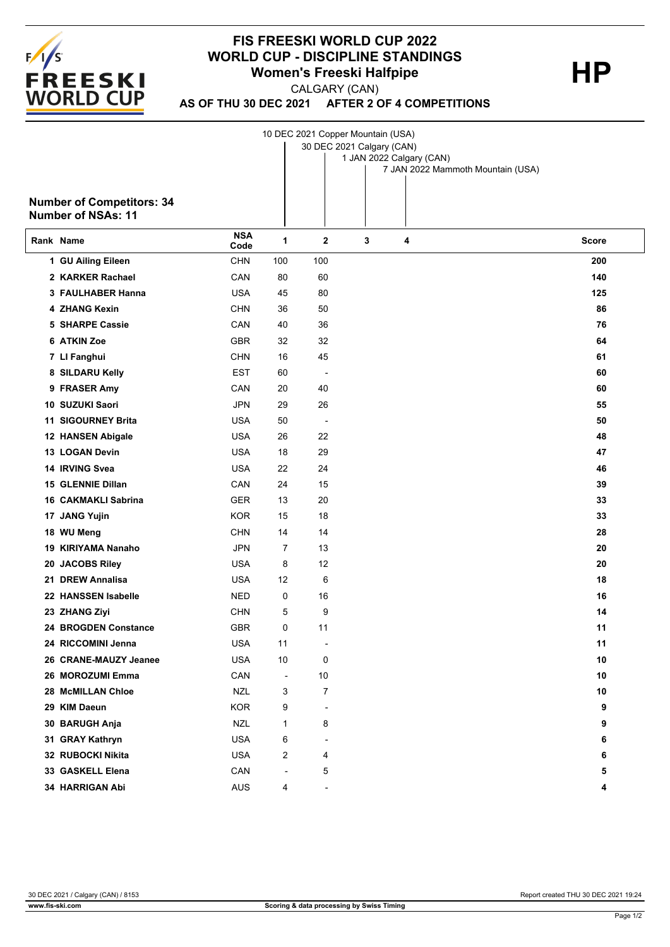

## **FIS FREESKI WORLD CUP 2022 WORLD CUP - DISCIPLINE STANDINGS**<br>Women's Freeski Halfpipe **Women's Freeski Halfpipe**

CALGARY (CAN)

**AS OF THU 30 DEC 2021 AFTER 2 OF 4 COMPETITIONS**

10 DEC 2021 Copper Mountain (USA)

| <b>Number of Competitors: 34</b><br><b>Number of NSAs: 11</b> |                    |                          | 30 DEC 2021 Calgary (CAN) |   | 1 JAN 2022 Calgary (CAN)<br>7 JAN 2022 Mammoth Mountain (USA) |              |
|---------------------------------------------------------------|--------------------|--------------------------|---------------------------|---|---------------------------------------------------------------|--------------|
| Rank Name                                                     | <b>NSA</b><br>Code | 1                        | $\mathbf 2$               | 3 | 4                                                             | <b>Score</b> |
| 1 GU Ailing Eileen                                            | <b>CHN</b>         | 100                      | 100                       |   |                                                               | 200          |
| 2 KARKER Rachael                                              | CAN                | 80                       | 60                        |   |                                                               | 140          |
| 3 FAULHABER Hanna                                             | <b>USA</b>         | 45                       | 80                        |   |                                                               | 125          |
| <b>4 ZHANG Kexin</b>                                          | <b>CHN</b>         | 36                       | 50                        |   |                                                               | 86           |
| <b>5 SHARPE Cassie</b>                                        | CAN                | 40                       | 36                        |   |                                                               | 76           |
| 6 ATKIN Zoe                                                   | <b>GBR</b>         | 32                       | 32                        |   |                                                               | 64           |
| 7 LI Fanghui                                                  | <b>CHN</b>         | 16                       | 45                        |   |                                                               | 61           |
| 8 SILDARU Kelly                                               | EST                | 60                       | $\overline{\phantom{a}}$  |   |                                                               | 60           |
| 9 FRASER Amy                                                  | CAN                | 20                       | 40                        |   |                                                               | 60           |
| 10 SUZUKI Saori                                               | <b>JPN</b>         | 29                       | 26                        |   |                                                               | 55           |
| 11 SIGOURNEY Brita                                            | <b>USA</b>         | 50                       | $\overline{a}$            |   |                                                               | 50           |
| 12 HANSEN Abigale                                             | USA                | 26                       | 22                        |   |                                                               | 48           |
| 13 LOGAN Devin                                                | <b>USA</b>         | 18                       | 29                        |   |                                                               | 47           |
| 14 IRVING Svea                                                | <b>USA</b>         | 22                       | 24                        |   |                                                               | 46           |
| <b>15 GLENNIE Dillan</b>                                      | CAN                | 24                       | 15                        |   |                                                               | 39           |
| <b>16 CAKMAKLI Sabrina</b>                                    | <b>GER</b>         | 13                       | 20                        |   |                                                               | 33           |
| 17 JANG Yujin                                                 | <b>KOR</b>         | 15                       | 18                        |   |                                                               | 33           |
| 18 WU Meng                                                    | <b>CHN</b>         | 14                       | 14                        |   |                                                               | 28           |
| 19 KIRIYAMA Nanaho                                            | <b>JPN</b>         | $\overline{7}$           | 13                        |   |                                                               | 20           |
| 20 JACOBS Riley                                               | <b>USA</b>         | 8                        | 12                        |   |                                                               | 20           |
| 21 DREW Annalisa                                              | <b>USA</b>         | 12                       | 6                         |   |                                                               | 18           |
| 22 HANSSEN Isabelle                                           | <b>NED</b>         | 0                        | 16                        |   |                                                               | 16           |
| 23 ZHANG Ziyi                                                 | <b>CHN</b>         | 5                        | 9                         |   |                                                               | 14           |
| 24 BROGDEN Constance                                          | <b>GBR</b>         | 0                        | 11                        |   |                                                               | 11           |
| 24 RICCOMINI Jenna                                            | <b>USA</b>         | 11                       | $\overline{\phantom{a}}$  |   |                                                               | 11           |
| 26 CRANE-MAUZY Jeanee                                         | <b>USA</b>         | 10                       | 0                         |   |                                                               | 10           |
| 26 MOROZUMI Emma                                              | CAN                | $\overline{\phantom{a}}$ | 10                        |   |                                                               | 10           |
| 28 McMILLAN Chloe                                             | <b>NZL</b>         | 3                        | 7                         |   |                                                               | 10           |
| 29 KIM Daeun                                                  | <b>KOR</b>         | 9                        | $\overline{\phantom{a}}$  |   |                                                               | 9            |
| 30 BARUGH Anja                                                | <b>NZL</b>         | 1                        | 8                         |   |                                                               | 9            |
| 31 GRAY Kathryn                                               | <b>USA</b>         | 6                        | $\blacksquare$            |   |                                                               | 6            |
| 32 RUBOCKI Nikita                                             | <b>USA</b>         | 2                        | 4                         |   |                                                               | 6            |
| 33 GASKELL Elena                                              | CAN                | ÷,                       | 5                         |   |                                                               | 5            |
| 34 HARRIGAN Abi                                               | AUS                | 4                        | $\overline{\phantom{a}}$  |   |                                                               | 4            |